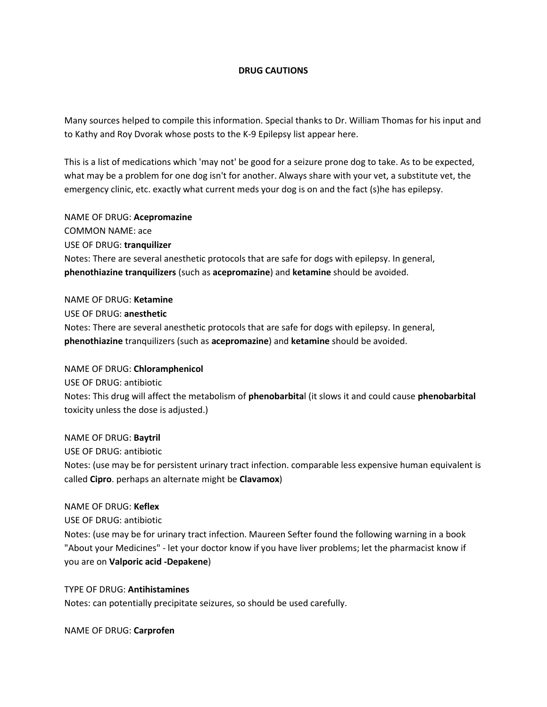### **DRUG CAUTIONS**

Many sources helped to compile this information. Special thanks to Dr. William Thomas for his input and to Kathy and Roy Dvorak whose posts to the K-9 Epilepsy list appear here.

This is a list of medications which 'may not' be good for a seizure prone dog to take. As to be expected, what may be a problem for one dog isn't for another. Always share with your vet, a substitute vet, the emergency clinic, etc. exactly what current meds your dog is on and the fact (s)he has epilepsy.

NAME OF DRUG: **Acepromazine** COMMON NAME: ace USE OF DRUG: **tranquilizer** Notes: There are several anesthetic protocols that are safe for dogs with epilepsy. In general, **phenothiazine tranquilizers** (such as **acepromazine**) and **ketamine** should be avoided.

NAME OF DRUG: **Ketamine** USE OF DRUG: **anesthetic** Notes: There are several anesthetic protocols that are safe for dogs with epilepsy. In general, **phenothiazine** tranquilizers (such as **acepromazine**) and **ketamine** should be avoided.

#### NAME OF DRUG: **Chloramphenicol**

USE OF DRUG: antibiotic Notes: This drug will affect the metabolism of **phenobarbita**l (it slows it and could cause **phenobarbital** toxicity unless the dose is adjusted.)

NAME OF DRUG: **Baytril**

USE OF DRUG: antibiotic Notes: (use may be for persistent urinary tract infection. comparable less expensive human equivalent is called **Cipro**. perhaps an alternate might be **Clavamox**)

#### NAME OF DRUG: **Keflex**

USE OF DRUG: antibiotic

Notes: (use may be for urinary tract infection. Maureen Sefter found the following warning in a book "About your Medicines" - let your doctor know if you have liver problems; let the pharmacist know if you are on **Valporic acid -Depakene**)

TYPE OF DRUG: **Antihistamines** Notes: can potentially precipitate seizures, so should be used carefully.

NAME OF DRUG: **Carprofen**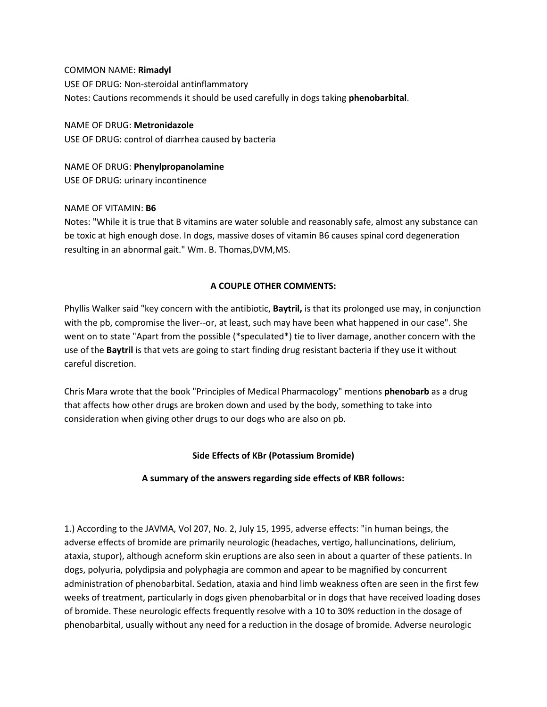COMMON NAME: **Rimadyl** USE OF DRUG: Non-steroidal antinflammatory Notes: Cautions recommends it should be used carefully in dogs taking **phenobarbital**.

NAME OF DRUG: **Metronidazole** USE OF DRUG: control of diarrhea caused by bacteria

NAME OF DRUG: **Phenylpropanolamine** USE OF DRUG: urinary incontinence

### NAME OF VITAMIN: **B6**

Notes: "While it is true that B vitamins are water soluble and reasonably safe, almost any substance can be toxic at high enough dose. In dogs, massive doses of vitamin B6 causes spinal cord degeneration resulting in an abnormal gait." Wm. B. Thomas,DVM,MS.

## **A COUPLE OTHER COMMENTS:**

Phyllis Walker said "key concern with the antibiotic, **Baytril,** is that its prolonged use may, in conjunction with the pb, compromise the liver--or, at least, such may have been what happened in our case". She went on to state "Apart from the possible (\*speculated\*) tie to liver damage, another concern with the use of the **Baytril** is that vets are going to start finding drug resistant bacteria if they use it without careful discretion.

Chris Mara wrote that the book "Principles of Medical Pharmacology" mentions **phenobarb** as a drug that affects how other drugs are broken down and used by the body, something to take into consideration when giving other drugs to our dogs who are also on pb.

### **Side Effects of KBr (Potassium Bromide)**

### **A summary of the answers regarding side effects of KBR follows:**

1.) According to the JAVMA, Vol 207, No. 2, July 15, 1995, adverse effects: "in human beings, the adverse effects of bromide are primarily neurologic (headaches, vertigo, halluncinations, delirium, ataxia, stupor), although acneform skin eruptions are also seen in about a quarter of these patients. In dogs, polyuria, polydipsia and polyphagia are common and apear to be magnified by concurrent administration of phenobarbital. Sedation, ataxia and hind limb weakness often are seen in the first few weeks of treatment, particularly in dogs given phenobarbital or in dogs that have received loading doses of bromide. These neurologic effects frequently resolve with a 10 to 30% reduction in the dosage of phenobarbital, usually without any need for a reduction in the dosage of bromide. Adverse neurologic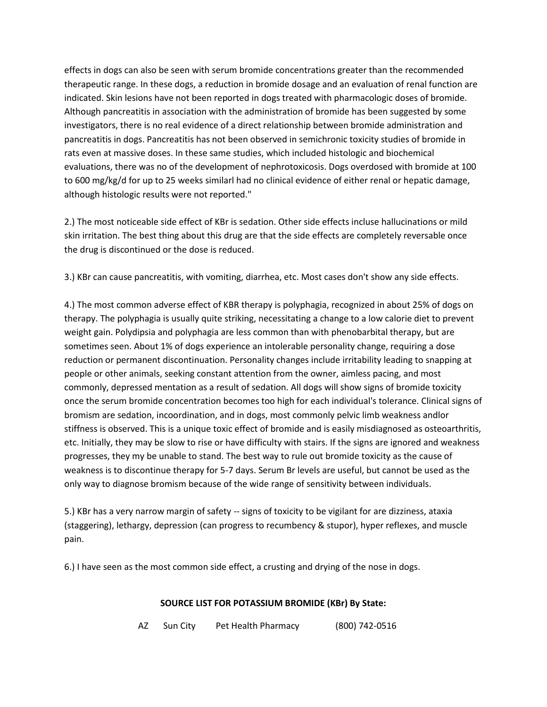effects in dogs can also be seen with serum bromide concentrations greater than the recommended therapeutic range. In these dogs, a reduction in bromide dosage and an evaluation of renal function are indicated. Skin lesions have not been reported in dogs treated with pharmacologic doses of bromide. Although pancreatitis in association with the administration of bromide has been suggested by some investigators, there is no real evidence of a direct relationship between bromide administration and pancreatitis in dogs. Pancreatitis has not been observed in semichronic toxicity studies of bromide in rats even at massive doses. In these same studies, which included histologic and biochemical evaluations, there was no of the development of nephrotoxicosis. Dogs overdosed with bromide at 100 to 600 mg/kg/d for up to 25 weeks similarl had no clinical evidence of either renal or hepatic damage, although histologic results were not reported."

2.) The most noticeable side effect of KBr is sedation. Other side effects incluse hallucinations or mild skin irritation. The best thing about this drug are that the side effects are completely reversable once the drug is discontinued or the dose is reduced.

3.) KBr can cause pancreatitis, with vomiting, diarrhea, etc. Most cases don't show any side effects.

4.) The most common adverse effect of KBR therapy is polyphagia, recognized in about 25% of dogs on therapy. The polyphagia is usually quite striking, necessitating a change to a low calorie diet to prevent weight gain. Polydipsia and polyphagia are less common than with phenobarbital therapy, but are sometimes seen. About 1% of dogs experience an intolerable personality change, requiring a dose reduction or permanent discontinuation. Personality changes include irritability leading to snapping at people or other animals, seeking constant attention from the owner, aimless pacing, and most commonly, depressed mentation as a result of sedation. All dogs will show signs of bromide toxicity once the serum bromide concentration becomes too high for each individual's tolerance. Clinical signs of bromism are sedation, incoordination, and in dogs, most commonly pelvic limb weakness andlor stiffness is observed. This is a unique toxic effect of bromide and is easily misdiagnosed as osteoarthritis, etc. Initially, they may be slow to rise or have difficulty with stairs. If the signs are ignored and weakness progresses, they my be unable to stand. The best way to rule out bromide toxicity as the cause of weakness is to discontinue therapy for 5-7 days. Serum Br levels are useful, but cannot be used as the only way to diagnose bromism because of the wide range of sensitivity between individuals.

5.) KBr has a very narrow margin of safety -- signs of toxicity to be vigilant for are dizziness, ataxia (staggering), lethargy, depression (can progress to recumbency & stupor), hyper reflexes, and muscle pain.

6.) I have seen as the most common side effect, a crusting and drying of the nose in dogs.

## **SOURCE LIST FOR POTASSIUM BROMIDE (KBr) By State:**

AZ Sun City Pet Health Pharmacy (800) 742-0516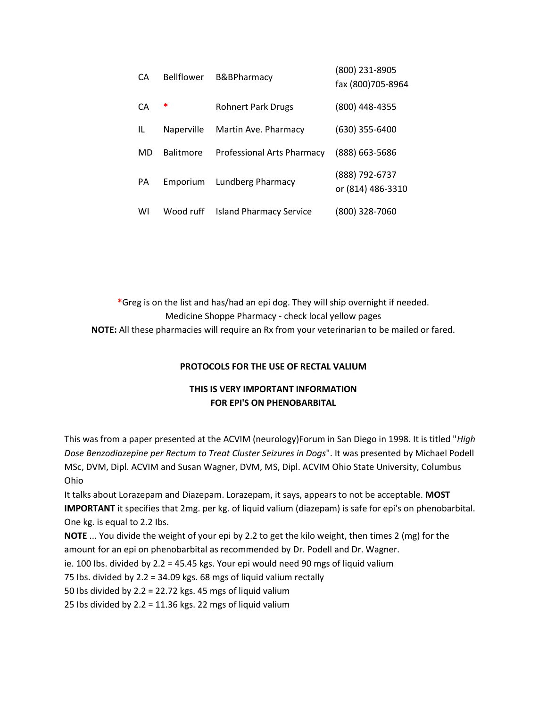| CА        | <b>Bellflower</b> | <b>B&amp;BPharmacy</b>            | (800) 231-8905<br>fax (800)705-8964 |
|-----------|-------------------|-----------------------------------|-------------------------------------|
| СA        | ∗                 | <b>Rohnert Park Drugs</b>         | (800) 448-4355                      |
| IL        | Naperville        | Martin Ave. Pharmacy              | $(630)$ 355-6400                    |
| <b>MD</b> | <b>Balitmore</b>  | <b>Professional Arts Pharmacy</b> | (888) 663-5686                      |
| PА        | Emporium          | Lundberg Pharmacy                 | (888) 792-6737<br>or (814) 486-3310 |
| WI        | Wood ruff         | <b>Island Pharmacy Service</b>    | (800) 328-7060                      |

**\***Greg is on the list and has/had an epi dog. They will ship overnight if needed. Medicine Shoppe Pharmacy - check local yellow pages **NOTE:** All these pharmacies will require an Rx from your veterinarian to be mailed or fared.

### **PROTOCOLS FOR THE USE OF RECTAL VALIUM**

# **THIS IS VERY IMPORTANT INFORMATION FOR EPI'S ON PHENOBARBITAL**

This was from a paper presented at the ACVIM (neurology)Forum in San Diego in 1998. It is titled "*High Dose Benzodiazepine per Rectum to Treat Cluster Seizures in Dogs*". It was presented by Michael Podell MSc, DVM, Dipl. ACVIM and Susan Wagner, DVM, MS, Dipl. ACVIM Ohio State University, Columbus Ohio

It talks about Lorazepam and Diazepam. Lorazepam, it says, appears to not be acceptable. **MOST IMPORTANT** it specifies that 2mg. per kg. of liquid valium (diazepam) is safe for epi's on phenobarbital. One kg. is equal to 2.2 Ibs.

**NOTE** ... You divide the weight of your epi by 2.2 to get the kilo weight, then times 2 (mg) for the amount for an epi on phenobarbital as recommended by Dr. Podell and Dr. Wagner.

ie. 100 Ibs. divided by 2.2 = 45.45 kgs. Your epi would need 90 mgs of liquid valium

75 Ibs. divided by 2.2 = 34.09 kgs. 68 mgs of liquid valium rectally

50 Ibs divided by 2.2 = 22.72 kgs. 45 mgs of liquid valium

25 Ibs divided by  $2.2 = 11.36$  kgs. 22 mgs of liquid valium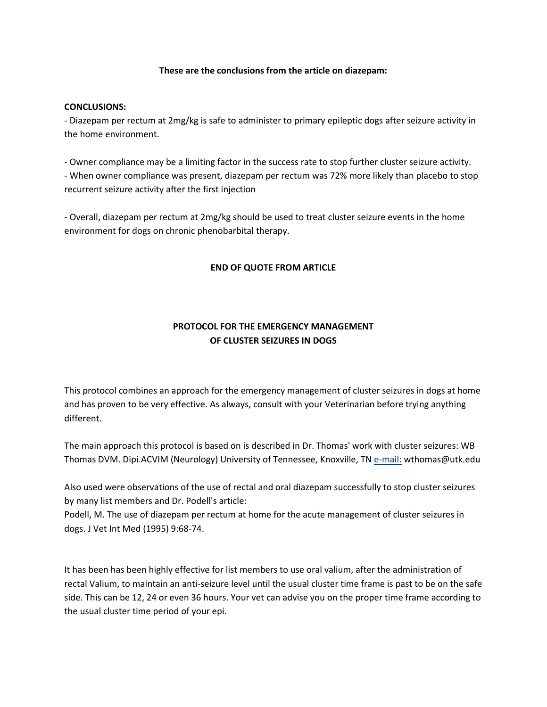### **These are the conclusions from the article on diazepam:**

### **CONCLUSIONS:**

- Diazepam per rectum at 2mg/kg is safe to administer to primary epileptic dogs after seizure activity in the home environment.

- Owner compliance may be a limiting factor in the success rate to stop further cluster seizure activity. - When owner compliance was present, diazepam per rectum was 72% more likely than placebo to stop recurrent seizure activity after the first injection

- Overall, diazepam per rectum at 2mg/kg should be used to treat cluster seizure events in the home environment for dogs on chronic phenobarbital therapy.

### **END OF QUOTE FROM ARTICLE**

# **PROTOCOL FOR THE EMERGENCY MANAGEMENT OF CLUSTER SEIZURES IN DOGS**

This protocol combines an approach for the emergency management of cluster seizures in dogs at home and has proven to be very effective. As always, consult with your Veterinarian before trying anything different.

The main approach this protocol is based on is described in Dr. Thomas' work with cluster seizures: WB Thomas DVM. Dipi.ACVIM (Neurology) University of Tennessee, Knoxville, TN [e-mail:](mailto:wthomas@utk.edu) wthomas@utk.edu

Also used were observations of the use of rectal and oral diazepam successfully to stop cluster seizures by many list members and Dr. Podell's article:

Podell, M. The use of diazepam per rectum at home for the acute management of cluster seizures in dogs. J Vet Int Med (1995) 9:68-74.

It has been has been highly effective for list members to use oral valium, after the administration of rectal Valium, to maintain an anti-seizure level until the usual cluster time frame is past to be on the safe side. This can be 12, 24 or even 36 hours. Your vet can advise you on the proper time frame according to the usual cluster time period of your epi.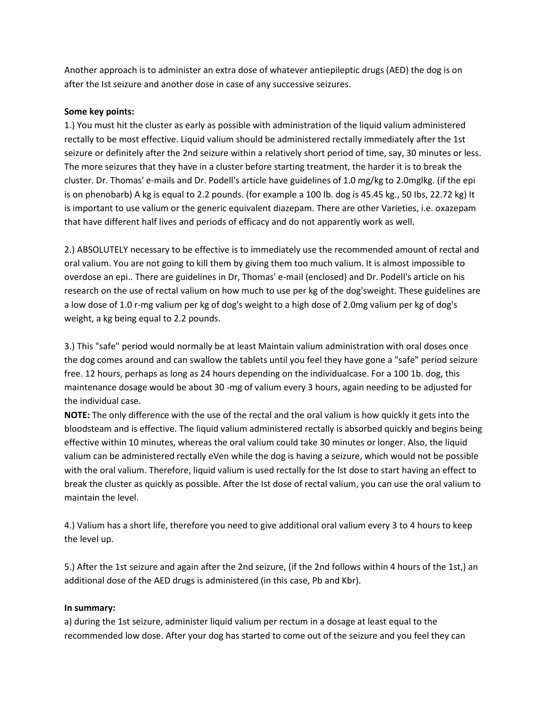Another approach is to administer an extra dose of whatever antiepileptic drugs (AED) the dog is on after the Ist seizure and another dose in case of any successive seizures.

### **Some key points:**

1.) You must hit the cluster as early as possible with administration of the liquid valium administered rectally to be most effective. Liquid valium should be administered rectally immediately after the 1st seizure or definitely after the 2nd seizure within a relatively short period of time, say, 30 minutes or less. The more seizures that they have in a cluster before starting treatment, the harder it is to break the cluster. Dr. Thomas' e-mails and Dr. Podell's article have guidelines of 1.0 mg/kg to 2.0mglkg. (if the epi is on phenobarb) A kg is equal to 2.2 pounds. (for example a 100 Ib. dog is 45.45 kg., 50 Ibs, 22.72 kg) It is important to use valium or the generic equivalent diazepam. There are other Varieties, i.e. oxazepam that have different half lives and periods of efficacy and do not apparently work as well.

2.) ABSOLUTELY necessary to be effective is to immediately use the recommended amount of rectal and oral valium. You are not going to kill them by giving them too much valium. It is almost impossible to overdose an epi.. There are guidelines in Dr, Thomas' e-mail (enclosed) and Dr. Podell's article on his research on the use of rectal valium on how much to use per kg of the dog'sweight. These guidelines are a low dose of 1.0 r-mg valium per kg of dog's weight to a high dose of 2.0mg valium per kg of dog's weight, a kg being equal to 2.2 pounds.

3.) This "safe" period would normally be at least Maintain valium administration with oral doses once the dog comes around and can swallow the tablets until you feel they have gone a "safe" period seizure free. 12 hours, perhaps as long as 24 hours depending on the individualcase. For a 100 1b. dog, this maintenance dosage would be about 30 -mg of valium every 3 hours, again needing to be adjusted for the individual case.

**NOTE:** The only difference with the use of the rectal and the oral valium is how quickly it gets into the bloodsteam and is effective. The liquid valium administered rectally is absorbed quickly and begins being effective within 10 minutes, whereas the oral valium could take 30 minutes or longer. Also, the liquid valium can be administered rectally eVen while the dog is having a seizure, which would not be possible with the oral valium. Therefore, liquid valium is used rectally for the Ist dose to start having an effect to break the cluster as quickly as possible. After the Ist dose of rectal valium, you can use the oral valium to maintain the level.

4.) Valium has a short life, therefore you need to give additional oral valium every 3 to 4 hours to keep the level up.

5.) After the 1st seizure and again after the 2nd seizure, (if the 2nd follows within 4 hours of the 1st,) an additional dose of the AED drugs is administered (in this case, Pb and Kbr).

### **In summary:**

a) during the 1st seizure, administer liquid valium per rectum in a dosage at least equal to the recommended low dose. After your dog has started to come out of the seizure and you feel they can